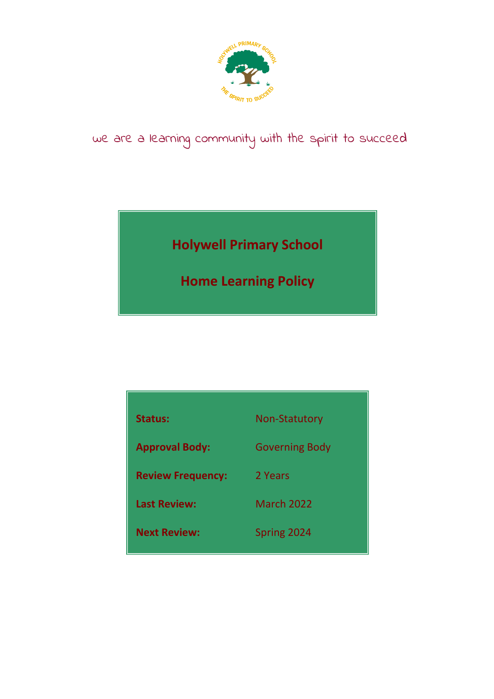

# we are a learning community with the spirit to succeed

**Holywell Primary School**

**Home Learning Policy**

| <b>Status:</b>           | <b>Non-Statutory</b>  |
|--------------------------|-----------------------|
|                          |                       |
| <b>Approval Body:</b>    | <b>Governing Body</b> |
| <b>Review Frequency:</b> | 2 Years               |
|                          |                       |
| <b>Last Review:</b>      | <b>March 2022</b>     |
| <b>Next Review:</b>      | Spring 2024           |
|                          |                       |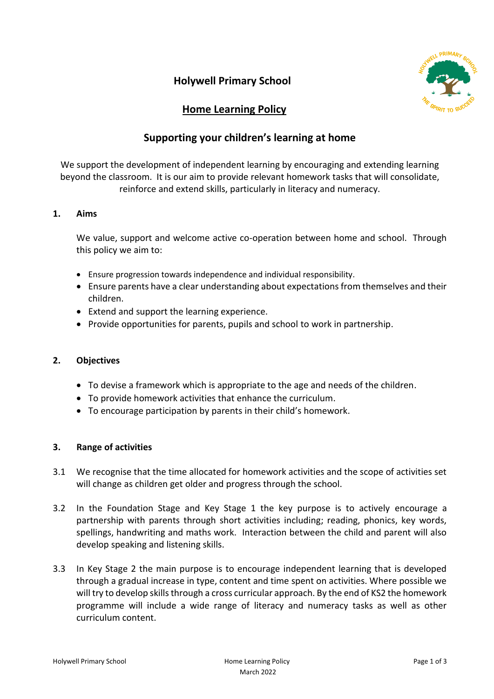

### **Home Learning Policy**

## **Supporting your children's learning at home**

We support the development of independent learning by encouraging and extending learning beyond the classroom. It is our aim to provide relevant homework tasks that will consolidate, reinforce and extend skills, particularly in literacy and numeracy.

#### **1. Aims**

We value, support and welcome active co-operation between home and school. Through this policy we aim to:

- Ensure progression towards independence and individual responsibility.
- Ensure parents have a clear understanding about expectations from themselves and their children.
- Extend and support the learning experience.
- Provide opportunities for parents, pupils and school to work in partnership.

#### **2. Objectives**

- To devise a framework which is appropriate to the age and needs of the children.
- To provide homework activities that enhance the curriculum.
- To encourage participation by parents in their child's homework.

#### **3. Range of activities**

- 3.1 We recognise that the time allocated for homework activities and the scope of activities set will change as children get older and progress through the school.
- 3.2 In the Foundation Stage and Key Stage 1 the key purpose is to actively encourage a partnership with parents through short activities including; reading, phonics, key words, spellings, handwriting and maths work. Interaction between the child and parent will also develop speaking and listening skills.
- 3.3 In Key Stage 2 the main purpose is to encourage independent learning that is developed through a gradual increase in type, content and time spent on activities. Where possible we will try to develop skills through a cross curricular approach. By the end of KS2 the homework programme will include a wide range of literacy and numeracy tasks as well as other curriculum content.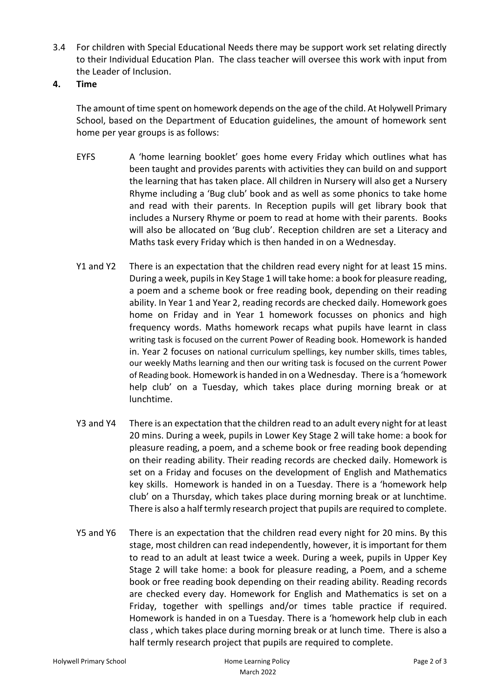- 3.4 For children with Special Educational Needs there may be support work set relating directly to their Individual Education Plan. The class teacher will oversee this work with input from the Leader of Inclusion.
- **4. Time**

The amount of time spent on homework depends on the age of the child. At Holywell Primary School, based on the Department of Education guidelines, the amount of homework sent home per year groups is as follows:

- EYFS A 'home learning booklet' goes home every Friday which outlines what has been taught and provides parents with activities they can build on and support the learning that has taken place. All children in Nursery will also get a Nursery Rhyme including a 'Bug club' book and as well as some phonics to take home and read with their parents. In Reception pupils will get library book that includes a Nursery Rhyme or poem to read at home with their parents. Books will also be allocated on 'Bug club'. Reception children are set a Literacy and Maths task every Friday which is then handed in on a Wednesday.
- Y1 and Y2 There is an expectation that the children read every night for at least 15 mins. During a week, pupils in Key Stage 1 will take home: a book for pleasure reading, a poem and a scheme book or free reading book, depending on their reading ability. In Year 1 and Year 2, reading records are checked daily. Homework goes home on Friday and in Year 1 homework focusses on phonics and high frequency words. Maths homework recaps what pupils have learnt in class writing task is focused on the current Power of Reading book. Homework is handed in. Year 2 focuses on national curriculum spellings, key number skills, times tables, our weekly Maths learning and then our writing task is focused on the current Power of Reading book. Homework is handed in on a Wednesday. There is a 'homework help club' on a Tuesday, which takes place during morning break or at lunchtime.
- Y3 and Y4 There is an expectation that the children read to an adult every night for at least 20 mins. During a week, pupils in Lower Key Stage 2 will take home: a book for pleasure reading, a poem, and a scheme book or free reading book depending on their reading ability. Their reading records are checked daily. Homework is set on a Friday and focuses on the development of English and Mathematics key skills. Homework is handed in on a Tuesday. There is a 'homework help club' on a Thursday, which takes place during morning break or at lunchtime. There is also a half termly research project that pupils are required to complete.
- Y5 and Y6 There is an expectation that the children read every night for 20 mins. By this stage, most children can read independently, however, it is important for them to read to an adult at least twice a week. During a week, pupils in Upper Key Stage 2 will take home: a book for pleasure reading, a Poem, and a scheme book or free reading book depending on their reading ability. Reading records are checked every day. Homework for English and Mathematics is set on a Friday, together with spellings and/or times table practice if required. Homework is handed in on a Tuesday. There is a 'homework help club in each class , which takes place during morning break or at lunch time. There is also a half termly research project that pupils are required to complete.